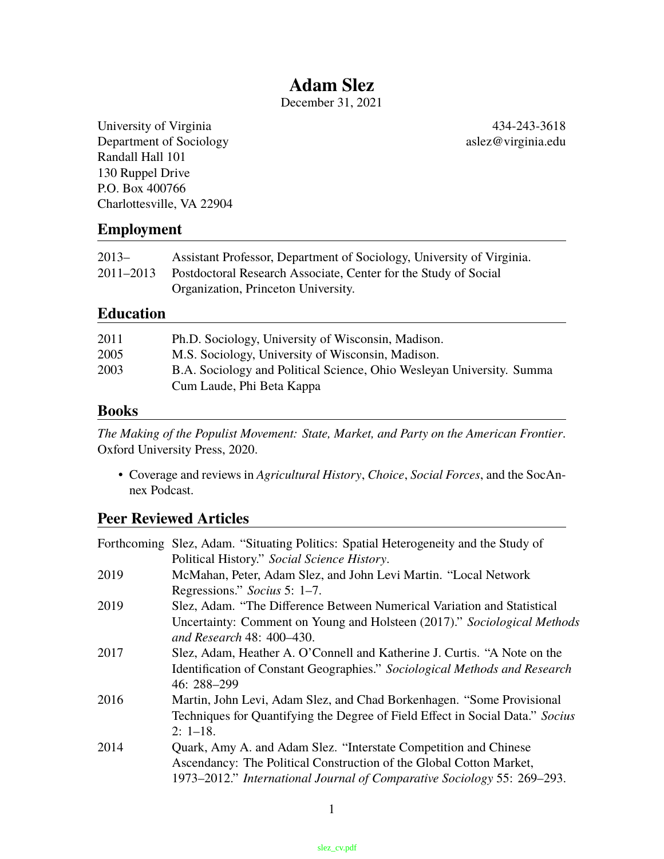# **Adam Slez**

December 31, 2021

University of Virginia 434-243-3618 Department of Sociology aslez@virginia.edu Randall Hall 101 130 Ruppel Drive P.O. Box 400766 Charlottesville, VA 22904

### **Employment**

| $2013 -$  | Assistant Professor, Department of Sociology, University of Virginia. |
|-----------|-----------------------------------------------------------------------|
| 2011–2013 | Postdoctoral Research Associate, Center for the Study of Social       |
|           | Organization, Princeton University.                                   |

### **Education**

| 2011 | Ph.D. Sociology, University of Wisconsin, Madison.                    |
|------|-----------------------------------------------------------------------|
| 2005 | M.S. Sociology, University of Wisconsin, Madison.                     |
| 2003 | B.A. Sociology and Political Science, Ohio Wesleyan University. Summa |
|      | Cum Laude, Phi Beta Kappa                                             |

### **Books**

*The Making of the Populist Movement: State, Market, and Party on the American Frontier*. Oxford University Press, 2020.

• Coverage and reviews in *Agricultural History*, *Choice*, *Social Forces*, and the SocAnnex Podcast.

# **Peer Reviewed Articles**

|      | Forthcoming Slez, Adam. "Situating Politics: Spatial Heterogeneity and the Study of |
|------|-------------------------------------------------------------------------------------|
|      | Political History." Social Science History.                                         |
| 2019 | McMahan, Peter, Adam Slez, and John Levi Martin. "Local Network                     |
|      | Regressions." Socius 5: 1–7.                                                        |
| 2019 | Slez, Adam. "The Difference Between Numerical Variation and Statistical             |
|      | Uncertainty: Comment on Young and Holsteen (2017)." Sociological Methods            |
|      | and Research 48: 400–430.                                                           |
| 2017 | Slez, Adam, Heather A. O'Connell and Katherine J. Curtis. "A Note on the            |
|      | Identification of Constant Geographies." Sociological Methods and Research          |
|      | 46: 288-299                                                                         |
| 2016 | Martin, John Levi, Adam Slez, and Chad Borkenhagen. "Some Provisional               |
|      | Techniques for Quantifying the Degree of Field Effect in Social Data." Socius       |
|      | $2: 1-18.$                                                                          |
| 2014 | Quark, Amy A. and Adam Slez. "Interstate Competition and Chinese"                   |
|      | Ascendancy: The Political Construction of the Global Cotton Market,                 |
|      | 1973–2012." International Journal of Comparative Sociology 55: 269–293.             |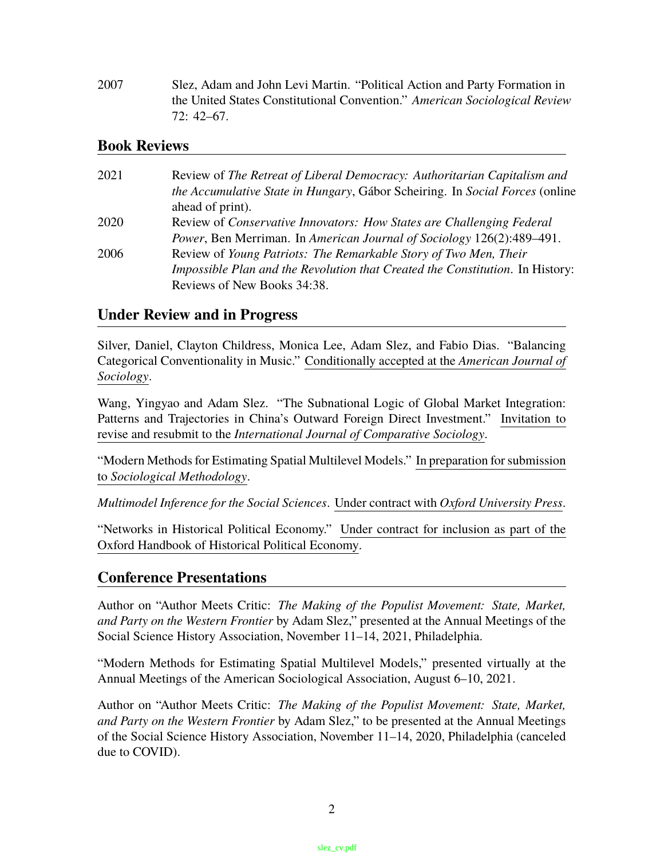2007 Slez, Adam and John Levi Martin. "Political Action and Party Formation in the United States Constitutional Convention." *American Sociological Review* 72: 42–67.

### **Book Reviews**

| 2021 | Review of The Retreat of Liberal Democracy: Authoritarian Capitalism and             |
|------|--------------------------------------------------------------------------------------|
|      | the Accumulative State in Hungary, Gábor Scheiring. In Social Forces (online         |
|      | ahead of print).                                                                     |
| 2020 | Review of <i>Conservative Innovators: How States are Challenging Federal</i>         |
|      | <i>Power</i> , Ben Merriman. In American Journal of Sociology 126(2):489–491.        |
| 2006 | Review of Young Patriots: The Remarkable Story of Two Men, Their                     |
|      | <i>Impossible Plan and the Revolution that Created the Constitution. In History:</i> |
|      | Reviews of New Books 34:38.                                                          |

# **Under Review and in Progress**

Silver, Daniel, Clayton Childress, Monica Lee, Adam Slez, and Fabio Dias. "Balancing Categorical Conventionality in Music." Conditionally accepted at the *American Journal of Sociology*.

Wang, Yingyao and Adam Slez. "The Subnational Logic of Global Market Integration: Patterns and Trajectories in China's Outward Foreign Direct Investment." Invitation to revise and resubmit to the *International Journal of Comparative Sociology*.

"Modern Methods for Estimating Spatial Multilevel Models." In preparation for submission to *Sociological Methodology*.

*Multimodel Inference for the Social Sciences*. Under contract with *Oxford University Press*.

"Networks in Historical Political Economy." Under contract for inclusion as part of the Oxford Handbook of Historical Political Economy.

# **Conference Presentations**

Author on "Author Meets Critic: *The Making of the Populist Movement: State, Market, and Party on the Western Frontier* by Adam Slez," presented at the Annual Meetings of the Social Science History Association, November 11–14, 2021, Philadelphia.

"Modern Methods for Estimating Spatial Multilevel Models," presented virtually at the Annual Meetings of the American Sociological Association, August 6–10, 2021.

Author on "Author Meets Critic: *The Making of the Populist Movement: State, Market, and Party on the Western Frontier* by Adam Slez," to be presented at the Annual Meetings of the Social Science History Association, November 11–14, 2020, Philadelphia (canceled due to COVID).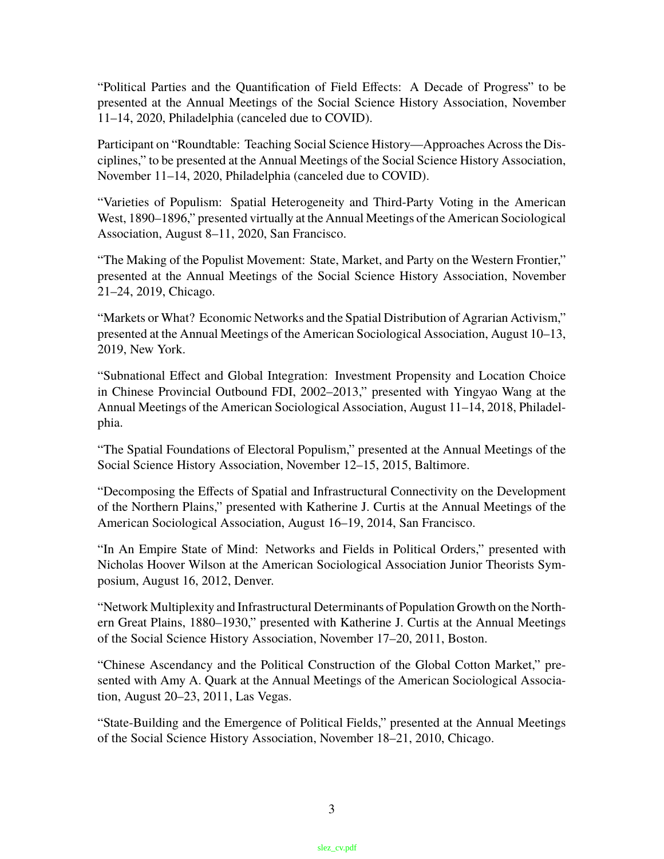"Political Parties and the Quantification of Field Effects: A Decade of Progress" to be presented at the Annual Meetings of the Social Science History Association, November 11–14, 2020, Philadelphia (canceled due to COVID).

Participant on "Roundtable: Teaching Social Science History—Approaches Across the Disciplines," to be presented at the Annual Meetings of the Social Science History Association, November 11–14, 2020, Philadelphia (canceled due to COVID).

"Varieties of Populism: Spatial Heterogeneity and Third-Party Voting in the American West, 1890–1896," presented virtually at the Annual Meetings of the American Sociological Association, August 8–11, 2020, San Francisco.

"The Making of the Populist Movement: State, Market, and Party on the Western Frontier," presented at the Annual Meetings of the Social Science History Association, November 21–24, 2019, Chicago.

"Markets or What? Economic Networks and the Spatial Distribution of Agrarian Activism," presented at the Annual Meetings of the American Sociological Association, August 10–13, 2019, New York.

"Subnational Effect and Global Integration: Investment Propensity and Location Choice in Chinese Provincial Outbound FDI, 2002–2013," presented with Yingyao Wang at the Annual Meetings of the American Sociological Association, August 11–14, 2018, Philadelphia.

"The Spatial Foundations of Electoral Populism," presented at the Annual Meetings of the Social Science History Association, November 12–15, 2015, Baltimore.

"Decomposing the Effects of Spatial and Infrastructural Connectivity on the Development of the Northern Plains," presented with Katherine J. Curtis at the Annual Meetings of the American Sociological Association, August 16–19, 2014, San Francisco.

"In An Empire State of Mind: Networks and Fields in Political Orders," presented with Nicholas Hoover Wilson at the American Sociological Association Junior Theorists Symposium, August 16, 2012, Denver.

"Network Multiplexity and Infrastructural Determinants of Population Growth on the Northern Great Plains, 1880–1930," presented with Katherine J. Curtis at the Annual Meetings of the Social Science History Association, November 17–20, 2011, Boston.

"Chinese Ascendancy and the Political Construction of the Global Cotton Market," presented with Amy A. Quark at the Annual Meetings of the American Sociological Association, August 20–23, 2011, Las Vegas.

"State-Building and the Emergence of Political Fields," presented at the Annual Meetings of the Social Science History Association, November 18–21, 2010, Chicago.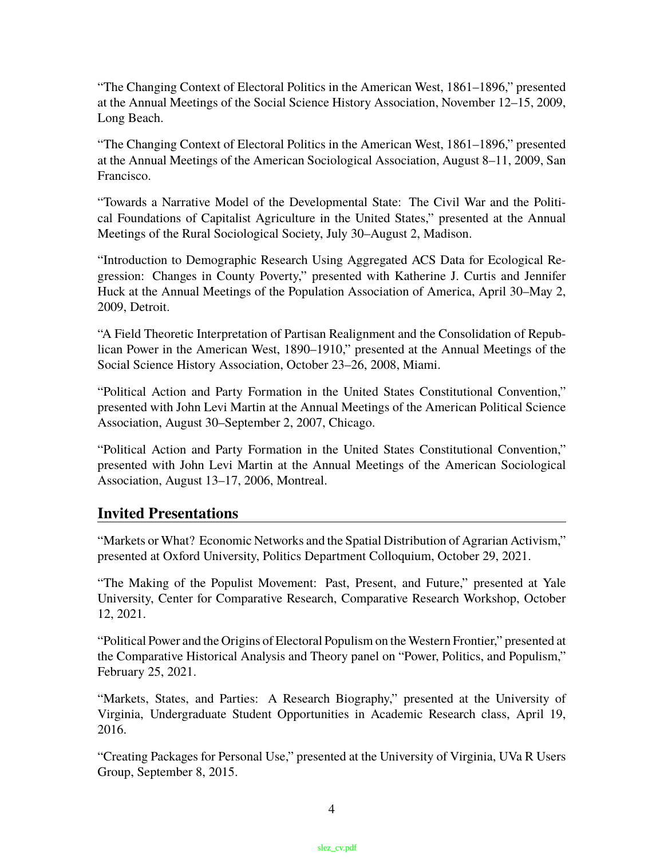"The Changing Context of Electoral Politics in the American West, 1861–1896," presented at the Annual Meetings of the Social Science History Association, November 12–15, 2009, Long Beach.

"The Changing Context of Electoral Politics in the American West, 1861–1896," presented at the Annual Meetings of the American Sociological Association, August 8–11, 2009, San Francisco.

"Towards a Narrative Model of the Developmental State: The Civil War and the Political Foundations of Capitalist Agriculture in the United States," presented at the Annual Meetings of the Rural Sociological Society, July 30–August 2, Madison.

"Introduction to Demographic Research Using Aggregated ACS Data for Ecological Regression: Changes in County Poverty," presented with Katherine J. Curtis and Jennifer Huck at the Annual Meetings of the Population Association of America, April 30–May 2, 2009, Detroit.

"A Field Theoretic Interpretation of Partisan Realignment and the Consolidation of Republican Power in the American West, 1890–1910," presented at the Annual Meetings of the Social Science History Association, October 23–26, 2008, Miami.

"Political Action and Party Formation in the United States Constitutional Convention," presented with John Levi Martin at the Annual Meetings of the American Political Science Association, August 30–September 2, 2007, Chicago.

"Political Action and Party Formation in the United States Constitutional Convention," presented with John Levi Martin at the Annual Meetings of the American Sociological Association, August 13–17, 2006, Montreal.

# **Invited Presentations**

"Markets or What? Economic Networks and the Spatial Distribution of Agrarian Activism," presented at Oxford University, Politics Department Colloquium, October 29, 2021.

"The Making of the Populist Movement: Past, Present, and Future," presented at Yale University, Center for Comparative Research, Comparative Research Workshop, October 12, 2021.

"Political Power and the Origins of Electoral Populism on the Western Frontier," presented at the Comparative Historical Analysis and Theory panel on "Power, Politics, and Populism," February 25, 2021.

"Markets, States, and Parties: A Research Biography," presented at the University of Virginia, Undergraduate Student Opportunities in Academic Research class, April 19, 2016.

"Creating Packages for Personal Use," presented at the University of Virginia, UVa R Users Group, September 8, 2015.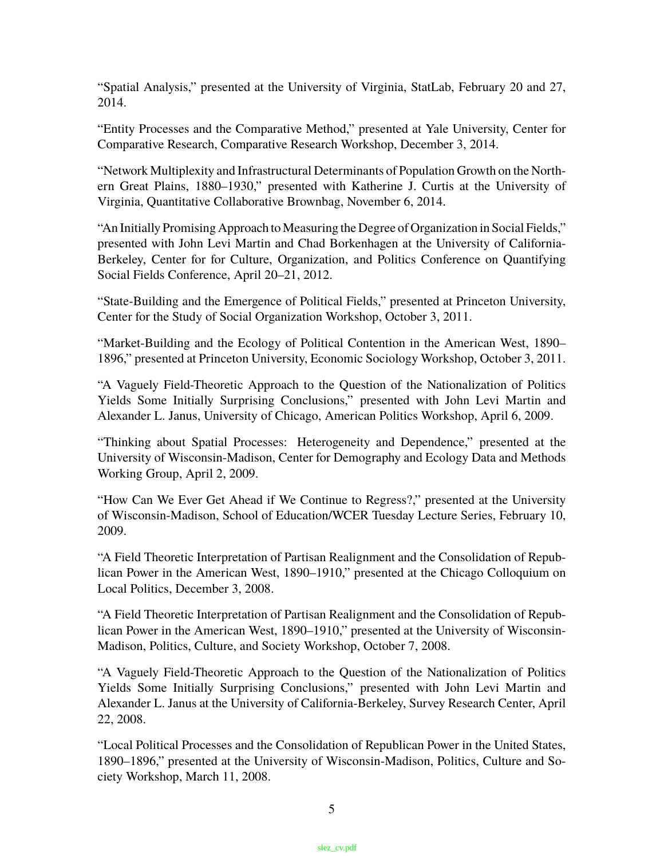"Spatial Analysis," presented at the University of Virginia, StatLab, February 20 and 27, 2014.

"Entity Processes and the Comparative Method," presented at Yale University, Center for Comparative Research, Comparative Research Workshop, December 3, 2014.

"Network Multiplexity and Infrastructural Determinants of Population Growth on the Northern Great Plains, 1880–1930," presented with Katherine J. Curtis at the University of Virginia, Quantitative Collaborative Brownbag, November 6, 2014.

"An Initially Promising Approach to Measuring the Degree of Organization in Social Fields," presented with John Levi Martin and Chad Borkenhagen at the University of California-Berkeley, Center for for Culture, Organization, and Politics Conference on Quantifying Social Fields Conference, April 20–21, 2012.

"State-Building and the Emergence of Political Fields," presented at Princeton University, Center for the Study of Social Organization Workshop, October 3, 2011.

"Market-Building and the Ecology of Political Contention in the American West, 1890– 1896," presented at Princeton University, Economic Sociology Workshop, October 3, 2011.

"A Vaguely Field-Theoretic Approach to the Question of the Nationalization of Politics Yields Some Initially Surprising Conclusions," presented with John Levi Martin and Alexander L. Janus, University of Chicago, American Politics Workshop, April 6, 2009.

"Thinking about Spatial Processes: Heterogeneity and Dependence," presented at the University of Wisconsin-Madison, Center for Demography and Ecology Data and Methods Working Group, April 2, 2009.

"How Can We Ever Get Ahead if We Continue to Regress?," presented at the University of Wisconsin-Madison, School of Education/WCER Tuesday Lecture Series, February 10, 2009.

"A Field Theoretic Interpretation of Partisan Realignment and the Consolidation of Republican Power in the American West, 1890–1910," presented at the Chicago Colloquium on Local Politics, December 3, 2008.

"A Field Theoretic Interpretation of Partisan Realignment and the Consolidation of Republican Power in the American West, 1890–1910," presented at the University of Wisconsin-Madison, Politics, Culture, and Society Workshop, October 7, 2008.

"A Vaguely Field-Theoretic Approach to the Question of the Nationalization of Politics Yields Some Initially Surprising Conclusions," presented with John Levi Martin and Alexander L. Janus at the University of California-Berkeley, Survey Research Center, April 22, 2008.

"Local Political Processes and the Consolidation of Republican Power in the United States, 1890–1896," presented at the University of Wisconsin-Madison, Politics, Culture and Society Workshop, March 11, 2008.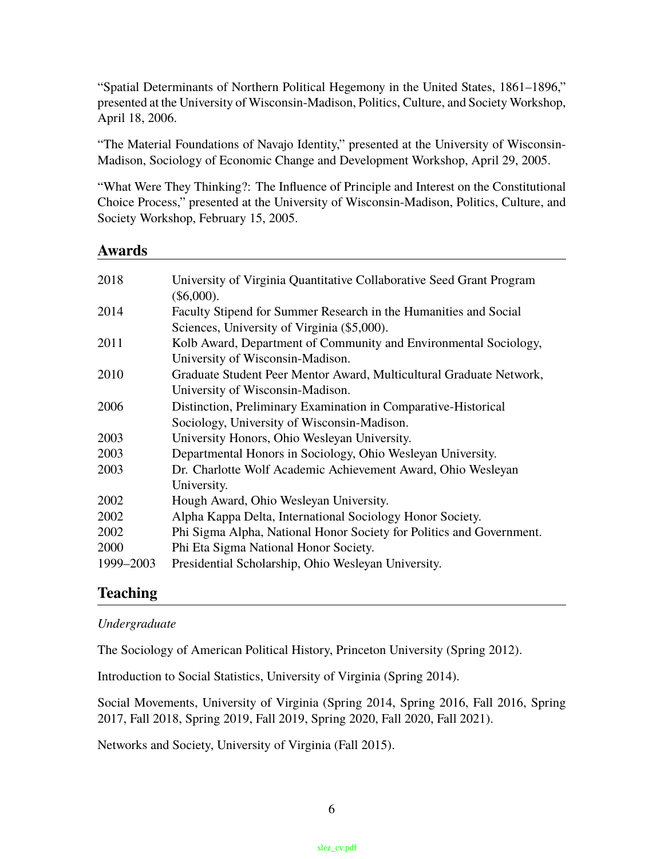"Spatial Determinants of Northern Political Hegemony in the United States, 1861–1896," presented at the University of Wisconsin-Madison, Politics, Culture, and Society Workshop, April 18, 2006.

"The Material Foundations of Navajo Identity," presented at the University of Wisconsin-Madison, Sociology of Economic Change and Development Workshop, April 29, 2005.

"What Were They Thinking?: The Influence of Principle and Interest on the Constitutional Choice Process," presented at the University of Wisconsin-Madison, Politics, Culture, and Society Workshop, February 15, 2005.

### **Awards**

| 2018      | University of Virginia Quantitative Collaborative Seed Grant Program<br>$(\$6,000).$                            |
|-----------|-----------------------------------------------------------------------------------------------------------------|
| 2014      | Faculty Stipend for Summer Research in the Humanities and Social                                                |
| 2011      | Sciences, University of Virginia (\$5,000).<br>Kolb Award, Department of Community and Environmental Sociology, |
| 2010      | University of Wisconsin-Madison.<br>Graduate Student Peer Mentor Award, Multicultural Graduate Network,         |
| 2006      | University of Wisconsin-Madison.<br>Distinction, Preliminary Examination in Comparative-Historical              |
|           | Sociology, University of Wisconsin-Madison.                                                                     |
| 2003      | University Honors, Ohio Wesleyan University.                                                                    |
| 2003      | Departmental Honors in Sociology, Ohio Wesleyan University.                                                     |
| 2003      | Dr. Charlotte Wolf Academic Achievement Award, Ohio Wesleyan<br>University.                                     |
| 2002      | Hough Award, Ohio Wesleyan University.                                                                          |
| 2002      | Alpha Kappa Delta, International Sociology Honor Society.                                                       |
| 2002      | Phi Sigma Alpha, National Honor Society for Politics and Government.                                            |
| 2000      | Phi Eta Sigma National Honor Society.                                                                           |
| 1999-2003 | Presidential Scholarship, Ohio Wesleyan University.                                                             |

# **Teaching**

### *Undergraduate*

The Sociology of American Political History, Princeton University (Spring 2012).

Introduction to Social Statistics, University of Virginia (Spring 2014).

Social Movements, University of Virginia (Spring 2014, Spring 2016, Fall 2016, Spring 2017, Fall 2018, Spring 2019, Fall 2019, Spring 2020, Fall 2020, Fall 2021).

Networks and Society, University of Virginia (Fall 2015).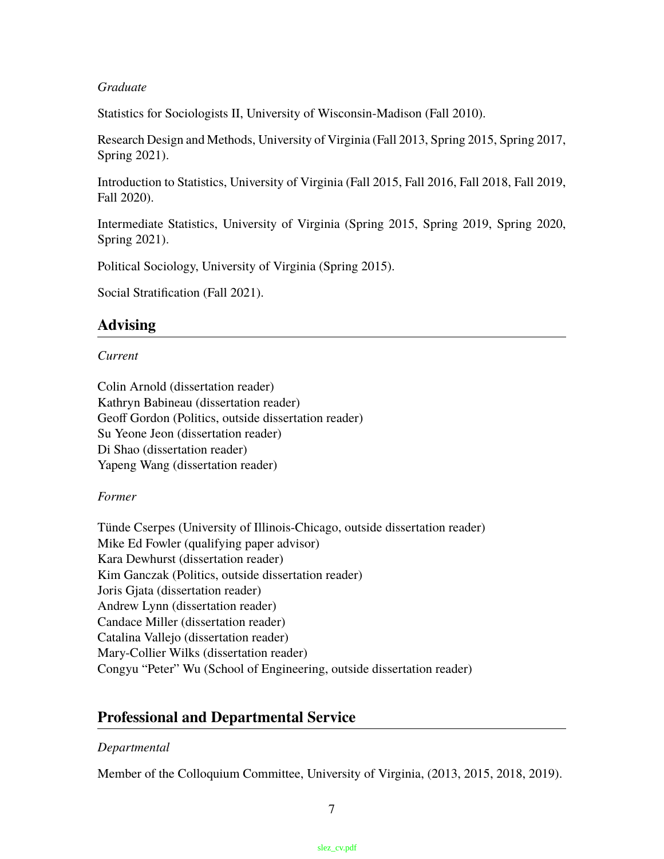### *Graduate*

Statistics for Sociologists II, University of Wisconsin-Madison (Fall 2010).

Research Design and Methods, University of Virginia (Fall 2013, Spring 2015, Spring 2017, Spring 2021).

Introduction to Statistics, University of Virginia (Fall 2015, Fall 2016, Fall 2018, Fall 2019, Fall 2020).

Intermediate Statistics, University of Virginia (Spring 2015, Spring 2019, Spring 2020, Spring 2021).

Political Sociology, University of Virginia (Spring 2015).

Social Stratification (Fall 2021).

### **Advising**

### *Current*

Colin Arnold (dissertation reader) Kathryn Babineau (dissertation reader) Geoff Gordon (Politics, outside dissertation reader) Su Yeone Jeon (dissertation reader) Di Shao (dissertation reader) Yapeng Wang (dissertation reader)

### *Former*

Tünde Cserpes (University of Illinois-Chicago, outside dissertation reader) Mike Ed Fowler (qualifying paper advisor) Kara Dewhurst (dissertation reader) Kim Ganczak (Politics, outside dissertation reader) Joris Gjata (dissertation reader) Andrew Lynn (dissertation reader) Candace Miller (dissertation reader) Catalina Vallejo (dissertation reader) Mary-Collier Wilks (dissertation reader) Congyu "Peter" Wu (School of Engineering, outside dissertation reader)

# **Professional and Departmental Service**

### *Departmental*

Member of the Colloquium Committee, University of Virginia, (2013, 2015, 2018, 2019).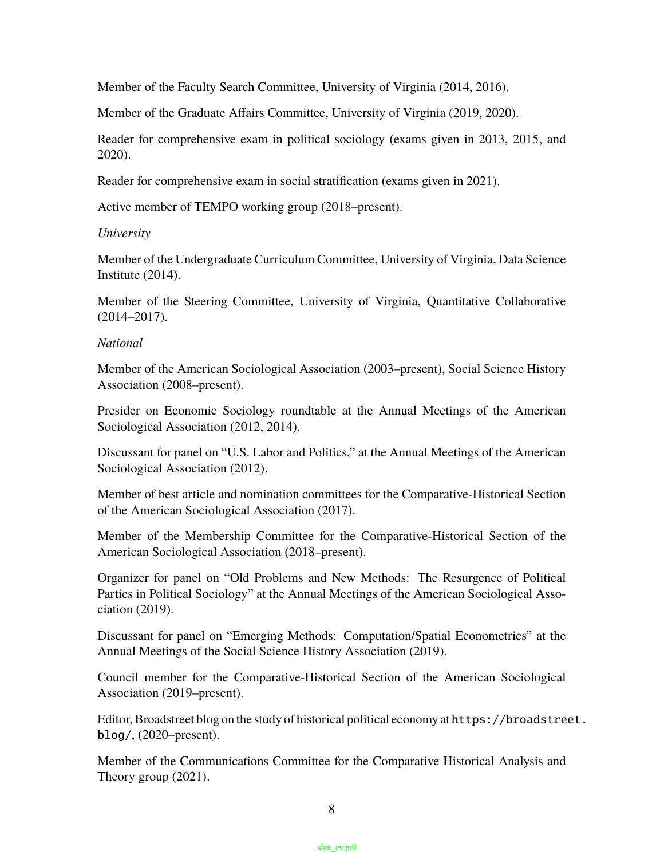Member of the Faculty Search Committee, University of Virginia (2014, 2016).

Member of the Graduate Affairs Committee, University of Virginia (2019, 2020).

Reader for comprehensive exam in political sociology (exams given in 2013, 2015, and 2020).

Reader for comprehensive exam in social stratification (exams given in 2021).

Active member of TEMPO working group (2018–present).

### *University*

Member of the Undergraduate Curriculum Committee, University of Virginia, Data Science Institute (2014).

Member of the Steering Committee, University of Virginia, Quantitative Collaborative (2014–2017).

### *National*

Member of the American Sociological Association (2003–present), Social Science History Association (2008–present).

Presider on Economic Sociology roundtable at the Annual Meetings of the American Sociological Association (2012, 2014).

Discussant for panel on "U.S. Labor and Politics," at the Annual Meetings of the American Sociological Association (2012).

Member of best article and nomination committees for the Comparative-Historical Section of the American Sociological Association (2017).

Member of the Membership Committee for the Comparative-Historical Section of the American Sociological Association (2018–present).

Organizer for panel on "Old Problems and New Methods: The Resurgence of Political Parties in Political Sociology" at the Annual Meetings of the American Sociological Association (2019).

Discussant for panel on "Emerging Methods: Computation/Spatial Econometrics" at the Annual Meetings of the Social Science History Association (2019).

Council member for the Comparative-Historical Section of the American Sociological Association (2019–present).

Editor, Broadstreet blog on the study of historical political economy at https://broadstreet. blog/, (2020–present).

Member of the Communications Committee for the Comparative Historical Analysis and Theory group (2021).